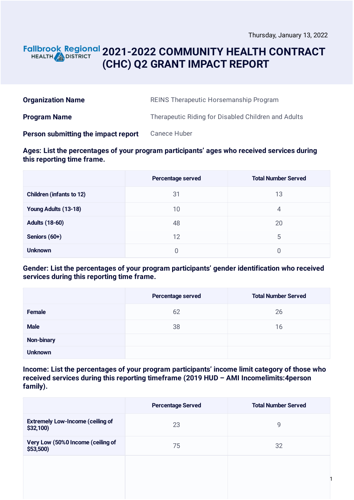### **2021-2022 COMMUNITY HEALTH CONTRACT** HEALTH **in DISTRICT (CHC) Q2 GRANT IMPACT REPORT**

| <b>Organization Name</b>            | <b>REINS Therapeutic Horsemanship Program</b>       |
|-------------------------------------|-----------------------------------------------------|
| <b>Program Name</b>                 | Therapeutic Riding for Disabled Children and Adults |
| Person submitting the impact report | Canece Huber                                        |

### **Ages: List the percentages of your program participants' ages who received services during this reporting time frame.**

|                                 | <b>Percentage served</b> | <b>Total Number Served</b> |
|---------------------------------|--------------------------|----------------------------|
| <b>Children (infants to 12)</b> | 31                       | 13                         |
| Young Adults (13-18)            | 10                       | 4                          |
| <b>Adults (18-60)</b>           | 48                       | 20                         |
| Seniors (60+)                   | 12                       | 5                          |
| <b>Unknown</b>                  | O                        | 0                          |

### **Gender: List the percentages of your program participants' gender identification who received services during this reporting time frame.**

|                   | Percentage served | <b>Total Number Served</b> |
|-------------------|-------------------|----------------------------|
| <b>Female</b>     | 62                | 26                         |
| <b>Male</b>       | 38                | 16                         |
| <b>Non-binary</b> |                   |                            |
| <b>Unknown</b>    |                   |                            |

**Income: List the percentages of your program participants' income limit category of those who received services during this reporting timeframe (2019 HUD – AMI Incomelimits:4person family).**

|                                                     | <b>Percentage Served</b> | <b>Total Number Served</b> |
|-----------------------------------------------------|--------------------------|----------------------------|
| <b>Extremely Low-Income (ceiling of</b><br>\$32,100 | 23                       | 9                          |
| Very Low (50%0 Income (ceiling of<br>$$53,500$ )    | 75                       | 32                         |
|                                                     |                          |                            |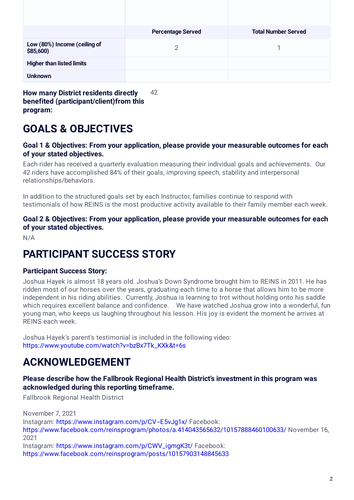|                                             | <b>Percentage Served</b> | <b>Total Number Served</b> |
|---------------------------------------------|--------------------------|----------------------------|
| Low (80%) Income (ceiling of<br>\$85,600)   | 2                        |                            |
| <b>Higher than listed limits</b>            |                          |                            |
| <b>Unknown</b>                              |                          |                            |
| <b>How many District residents directly</b> | 42                       |                            |

**benefited (participant/client)from this program:**

# **GOALS & OBJECTIVES**

#### **Goal 1 & Objectives: From your application, please provide your measurable outcomes for each of your stated objectives.**

Each rider has received a quarterly evaluation measuring their individual goals and achievements. Our 42 riders have accomplished 84% of their goals, improving speech, stability and interpersonal relationships/behaviors.

In addition to the structured goals set by each Instructor, families continue to respond with testimonials of how REINS is the most productive activity available to their family member each week.

**Goal 2 & Objectives: From your application, please provide your measurable outcomes for each of your stated objectives.**

N/A

## **PARTICIPANT SUCCESS STORY**

### **Participant Success Story:**

Joshua Hayek is almost 18 years old. Joshua's Down Syndrome brought him to REINS in 2011. He has ridden most of our horses over the years, graduating each time to a horse that allows him to be more independent in his riding abilities. Currently, Joshua is learning to trot without holding onto his saddle which requires excellent balance and confidence. We have watched Joshua grow into a wonderful, fun young man, who keeps us laughing throughout his lesson. His joy is evident the moment he arrives at REINS each week.

Joshua Hayek's parent's testimonial is included in the following video: [https://www.youtube.com/watch?v=bzBx7Tk\\_KXk&t=6s](https://www.youtube.com/watch?v=bzBx7Tk_KXk&t=6s)

## **ACKNOWLEDGEMENT**

#### **Please describe how the Fallbrook Regional Health District's investment in this program was acknowledged during this reporting timeframe.**

Fallbrook Regional Health District

November 7, 2021 Instagram: <https://www.instagram.com/p/CV--E5vJg1x/> Facebook: <https://www.facebook.com/reinsprogram/photos/a.414043565632/10157888460100633/> November 16, 2021 Instagram: [https://www.instagram.com/p/CWV\\_igmgK3t/](https://www.instagram.com/p/CWV_igmgK3t/) Facebook: <https://www.facebook.com/reinsprogram/posts/10157903148845633>